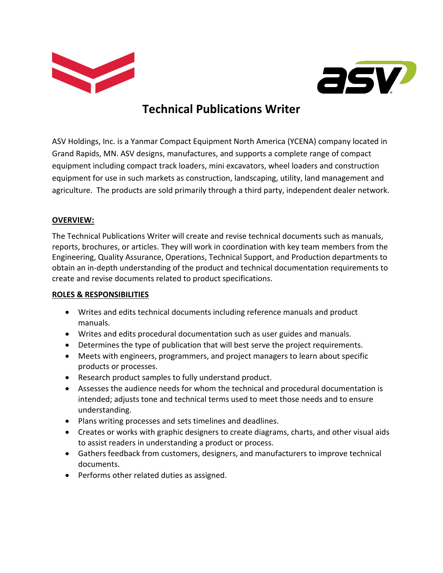



# **Technical Publications Writer**

ASV Holdings, Inc. is a Yanmar Compact Equipment North America (YCENA) company located in Grand Rapids, MN. ASV designs, manufactures, and supports a complete range of compact equipment including compact track loaders, mini excavators, wheel loaders and construction equipment for use in such markets as construction, landscaping, utility, land management and agriculture. The products are sold primarily through a third party, independent dealer network.

## **OVERVIEW:**

The Technical Publications Writer will create and revise technical documents such as manuals, reports, brochures, or articles. They will work in coordination with key team members from the Engineering, Quality Assurance, Operations, Technical Support, and Production departments to obtain an in-depth understanding of the product and technical documentation requirements to create and revise documents related to product specifications.

### **ROLES & RESPONSIBILITIES**

- Writes and edits technical documents including reference manuals and product manuals.
- Writes and edits procedural documentation such as user guides and manuals.
- Determines the type of publication that will best serve the project requirements.
- Meets with engineers, programmers, and project managers to learn about specific products or processes.
- Research product samples to fully understand product.
- Assesses the audience needs for whom the technical and procedural documentation is intended; adjusts tone and technical terms used to meet those needs and to ensure understanding.
- Plans writing processes and sets timelines and deadlines.
- Creates or works with graphic designers to create diagrams, charts, and other visual aids to assist readers in understanding a product or process.
- Gathers feedback from customers, designers, and manufacturers to improve technical documents.
- Performs other related duties as assigned.